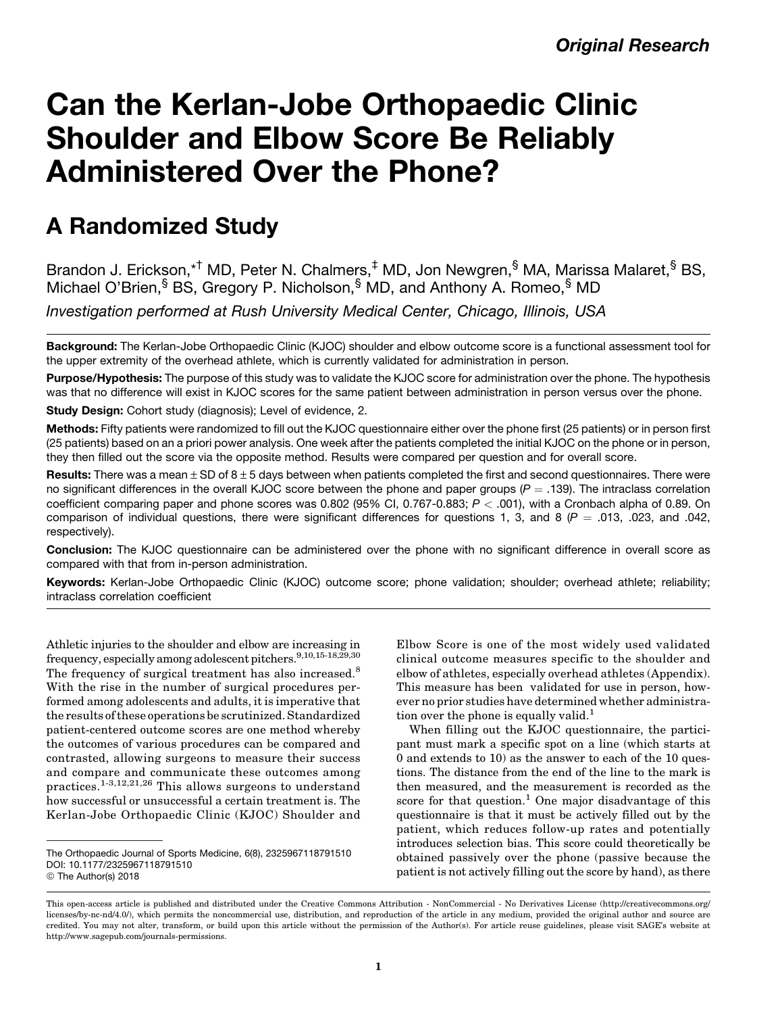# Can the Kerlan-Jobe Orthopaedic Clinic Shoulder and Elbow Score Be Reliably Administered Over the Phone?

## A Randomized Study

Brandon J. Erickson,\*<sup>†</sup> MD, Peter N. Chalmers,<sup>‡</sup> MD, Jon Newgren,<sup>§</sup> MA, Marissa Malaret,<sup>§</sup> BS, Michael O'Brien,§ BS, Gregory P. Nicholson,§ MD, and Anthony A. Romeo,§ MD Investigation performed at Rush University Medical Center, Chicago, Illinois, USA

Background: The Kerlan-Jobe Orthopaedic Clinic (KJOC) shoulder and elbow outcome score is a functional assessment tool for the upper extremity of the overhead athlete, which is currently validated for administration in person.

Purpose/Hypothesis: The purpose of this study was to validate the KJOC score for administration over the phone. The hypothesis was that no difference will exist in KJOC scores for the same patient between administration in person versus over the phone.

Study Design: Cohort study (diagnosis); Level of evidence, 2.

Methods: Fifty patients were randomized to fill out the KJOC questionnaire either over the phone first (25 patients) or in person first (25 patients) based on an a priori power analysis. One week after the patients completed the initial KJOC on the phone or in person, they then filled out the score via the opposite method. Results were compared per question and for overall score.

Results: There was a mean  $\pm$  SD of 8 $\pm$  5 days between when patients completed the first and second questionnaires. There were no significant differences in the overall KJOC score between the phone and paper groups ( $P = .139$ ). The intraclass correlation coefficient comparing paper and phone scores was 0.802 (95% CI, 0.767-0.883;  $P < .001$ ), with a Cronbach alpha of 0.89. On comparison of individual questions, there were significant differences for questions 1, 3, and 8 ( $P = .013, .023,$  and .042, respectively).

Conclusion: The KJOC questionnaire can be administered over the phone with no significant difference in overall score as compared with that from in-person administration.

Keywords: Kerlan-Jobe Orthopaedic Clinic (KJOC) outcome score; phone validation; shoulder; overhead athlete; reliability; intraclass correlation coefficient

Athletic injuries to the shoulder and elbow are increasing in frequency, especially among adolescent pitchers.<sup>9,10,15-18,29,30</sup> The frequency of surgical treatment has also increased.<sup>8</sup> With the rise in the number of surgical procedures performed among adolescents and adults, it is imperative that the results of these operations be scrutinized. Standardized patient-centered outcome scores are one method whereby the outcomes of various procedures can be compared and contrasted, allowing surgeons to measure their success and compare and communicate these outcomes among practices.1-3,12,21,26 This allows surgeons to understand how successful or unsuccessful a certain treatment is. The Kerlan-Jobe Orthopaedic Clinic (KJOC) Shoulder and

Elbow Score is one of the most widely used validated clinical outcome measures specific to the shoulder and elbow of athletes, especially overhead athletes (Appendix). This measure has been validated for use in person, however no prior studies have determined whether administration over the phone is equally valid.<sup>1</sup>

When filling out the KJOC questionnaire, the participant must mark a specific spot on a line (which starts at 0 and extends to 10) as the answer to each of the 10 questions. The distance from the end of the line to the mark is then measured, and the measurement is recorded as the score for that question.<sup>1</sup> One major disadvantage of this questionnaire is that it must be actively filled out by the patient, which reduces follow-up rates and potentially introduces selection bias. This score could theoretically be obtained passively over the phone (passive because the patient is not actively filling out the score by hand), as there

The Orthopaedic Journal of Sports Medicine, 6(8), 2325967118791510 DOI: 10.1177/2325967118791510 © The Author(s) 2018

This open-access article is published and distributed under the Creative Commons Attribution - NonCommercial - No Derivatives License (http://creativecommons.org/ licenses/by-nc-nd/4.0/), which permits the noncommercial use, distribution, and reproduction of the article in any medium, provided the original author and source are credited. You may not alter, transform, or build upon this article without the permission of the Author(s). For article reuse guidelines, please visit SAGE's website at http://www.sagepub.com/journals-permissions.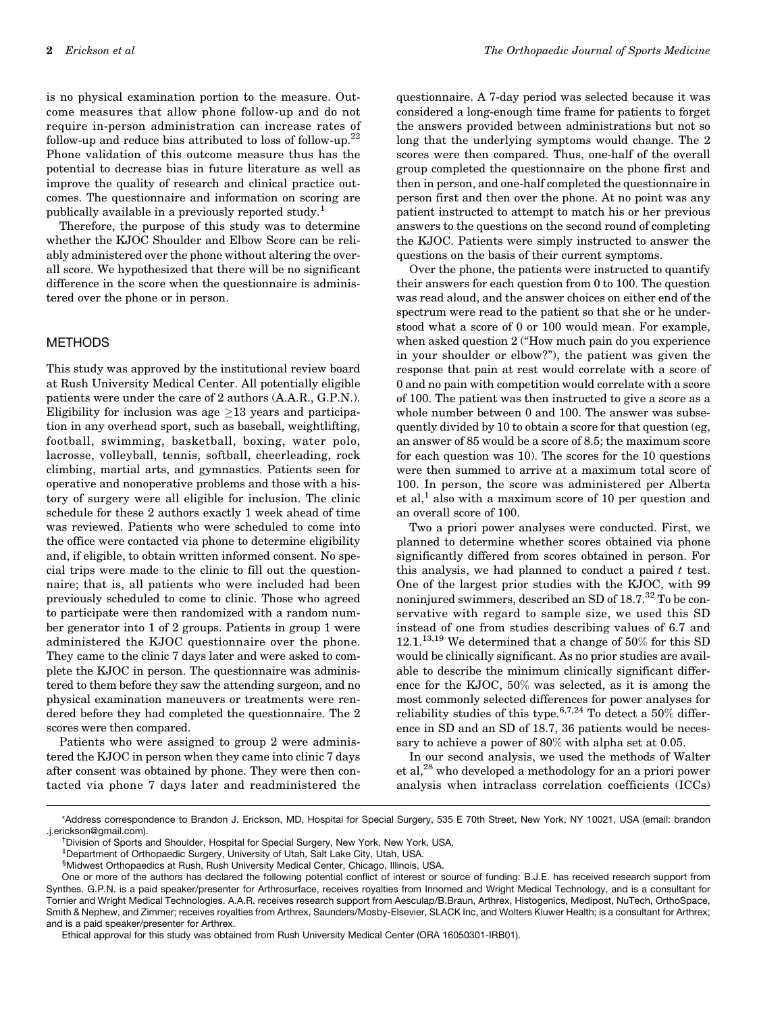is no physical examination portion to the measure. Outcome measures that allow phone follow-up and do not require in-person administration can increase rates of follow-up and reduce bias attributed to loss of follow-up.<sup>22</sup> Phone validation of this outcome measure thus has the potential to decrease bias in future literature as well as improve the quality of research and clinical practice outcomes. The questionnaire and information on scoring are publically available in a previously reported study.<sup>1</sup>

Therefore, the purpose of this study was to determine whether the KJOC Shoulder and Elbow Score can be reliably administered over the phone without altering the overall score. We hypothesized that there will be no significant difference in the score when the questionnaire is administered over the phone or in person.

#### METHODS

This study was approved by the institutional review board at Rush University Medical Center. All potentially eligible patients were under the care of 2 authors (A.A.R., G.P.N.). Eligibility for inclusion was age  $\geq$ 13 years and participation in any overhead sport, such as baseball, weightlifting, football, swimming, basketball, boxing, water polo, lacrosse, volleyball, tennis, softball, cheerleading, rock climbing, martial arts, and gymnastics. Patients seen for operative and nonoperative problems and those with a history of surgery were all eligible for inclusion. The clinic schedule for these 2 authors exactly 1 week ahead of time was reviewed. Patients who were scheduled to come into the office were contacted via phone to determine eligibility and, if eligible, to obtain written informed consent. No special trips were made to the clinic to fill out the questionnaire; that is, all patients who were included had been previously scheduled to come to clinic. Those who agreed to participate were then randomized with a random number generator into 1 of 2 groups. Patients in group 1 were administered the KJOC questionnaire over the phone. They came to the clinic 7 days later and were asked to complete the KJOC in person. The questionnaire was administered to them before they saw the attending surgeon, and no physical examination maneuvers or treatments were rendered before they had completed the questionnaire. The 2 scores were then compared.

Patients who were assigned to group 2 were administered the KJOC in person when they came into clinic 7 days after consent was obtained by phone. They were then contacted via phone 7 days later and readministered the questionnaire. A 7-day period was selected because it was considered a long-enough time frame for patients to forget the answers provided between administrations but not so long that the underlying symptoms would change. The 2 scores were then compared. Thus, one-half of the overall group completed the questionnaire on the phone first and then in person, and one-half completed the questionnaire in person first and then over the phone. At no point was any patient instructed to attempt to match his or her previous answers to the questions on the second round of completing the KJOC. Patients were simply instructed to answer the questions on the basis of their current symptoms.

Over the phone, the patients were instructed to quantify their answers for each question from 0 to 100. The question was read aloud, and the answer choices on either end of the spectrum were read to the patient so that she or he understood what a score of 0 or 100 would mean. For example, when asked question 2 ("How much pain do you experience in your shoulder or elbow?"), the patient was given the response that pain at rest would correlate with a score of 0 and no pain with competition would correlate with a score of 100. The patient was then instructed to give a score as a whole number between 0 and 100. The answer was subsequently divided by 10 to obtain a score for that question (eg, an answer of 85 would be a score of 8.5; the maximum score for each question was 10). The scores for the 10 questions were then summed to arrive at a maximum total score of 100. In person, the score was administered per Alberta et al,<sup>1</sup> also with a maximum score of 10 per question and an overall score of 100.

Two a priori power analyses were conducted. First, we planned to determine whether scores obtained via phone significantly differed from scores obtained in person. For this analysis, we had planned to conduct a paired  $t$  test. One of the largest prior studies with the KJOC, with 99 noninjured swimmers, described an SD of  $18.7<sup>32</sup>$  To be conservative with regard to sample size, we used this SD instead of one from studies describing values of 6.7 and  $12.1.^{13,19}$  We determined that a change of  $50\%$  for this SD would be clinically significant. As no prior studies are available to describe the minimum clinically significant difference for the KJOC, 50% was selected, as it is among the most commonly selected differences for power analyses for reliability studies of this type.<sup>6,7,24</sup> To detect a 50% difference in SD and an SD of 18.7, 36 patients would be necessary to achieve a power of 80% with alpha set at 0.05.

In our second analysis, we used the methods of Walter et al,<sup>28</sup> who developed a methodology for an a priori power analysis when intraclass correlation coefficients (ICCs)

<sup>\*</sup>Address correspondence to Brandon J. Erickson, MD, Hospital for Special Surgery, 535 E 70th Street, New York, NY 10021, USA (email: brandon .j.erickson@gmail.com). †

<sup>&</sup>lt;sup>†</sup> Division of Sports and Shoulder, Hospital for Special Surgery, New York, New York, USA.

<sup>‡</sup> Department of Orthopaedic Surgery, University of Utah, Salt Lake City, Utah, USA.

<sup>§</sup> Midwest Orthopaedics at Rush, Rush University Medical Center, Chicago, Illinois, USA.

One or more of the authors has declared the following potential conflict of interest or source of funding: B.J.E. has received research support from Synthes. G.P.N. is a paid speaker/presenter for Arthrosurface, receives royalties from Innomed and Wright Medical Technology, and is a consultant for Tornier and Wright Medical Technologies. A.A.R. receives research support from Aesculap/B.Braun, Arthrex, Histogenics, Medipost, NuTech, OrthoSpace, Smith & Nephew, and Zimmer; receives royalties from Arthrex, Saunders/Mosby-Elsevier, SLACK Inc, and Wolters Kluwer Health; is a consultant for Arthrex; and is a paid speaker/presenter for Arthrex.

Ethical approval for this study was obtained from Rush University Medical Center (ORA 16050301-IRB01).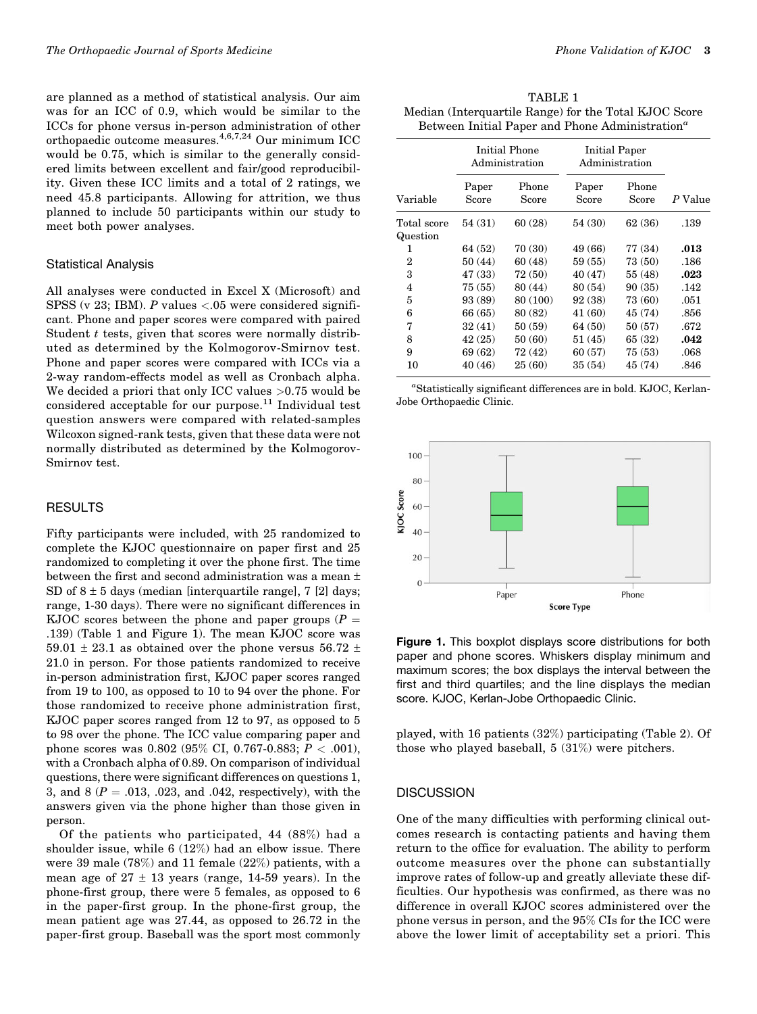are planned as a method of statistical analysis. Our aim was for an ICC of 0.9, which would be similar to the ICCs for phone versus in-person administration of other orthopaedic outcome measures.4,6,7,24 Our minimum ICC would be 0.75, which is similar to the generally considered limits between excellent and fair/good reproducibility. Given these ICC limits and a total of 2 ratings, we need 45.8 participants. Allowing for attrition, we thus planned to include 50 participants within our study to meet both power analyses.

#### Statistical Analysis

All analyses were conducted in Excel X (Microsoft) and SPSS (v 23; IBM).  $P$  values <.05 were considered significant. Phone and paper scores were compared with paired Student t tests, given that scores were normally distributed as determined by the Kolmogorov-Smirnov test. Phone and paper scores were compared with ICCs via a 2-way random-effects model as well as Cronbach alpha. We decided a priori that only ICC values  $>0.75$  would be considered acceptable for our purpose.<sup>11</sup> Individual test question answers were compared with related-samples Wilcoxon signed-rank tests, given that these data were not normally distributed as determined by the Kolmogorov-Smirnov test.

#### RESULTS

Fifty participants were included, with 25 randomized to complete the KJOC questionnaire on paper first and 25 randomized to completing it over the phone first. The time between the first and second administration was a mean ± SD of  $8 \pm 5$  days (median [interquartile range], 7 [2] days; range, 1-30 days). There were no significant differences in KJOC scores between the phone and paper groups ( $P =$ .139) (Table 1 and Figure 1). The mean KJOC score was 59.01  $\pm$  23.1 as obtained over the phone versus 56.72  $\pm$ 21.0 in person. For those patients randomized to receive in-person administration first, KJOC paper scores ranged from 19 to 100, as opposed to 10 to 94 over the phone. For those randomized to receive phone administration first, KJOC paper scores ranged from 12 to 97, as opposed to 5 to 98 over the phone. The ICC value comparing paper and phone scores was 0.802 (95% CI, 0.767-0.883;  $P < .001$ ), with a Cronbach alpha of 0.89. On comparison of individual questions, there were significant differences on questions 1, 3, and 8 ( $P = .013, .023,$  and .042, respectively), with the answers given via the phone higher than those given in person.

Of the patients who participated, 44 (88%) had a shoulder issue, while 6 (12%) had an elbow issue. There were 39 male (78%) and 11 female (22%) patients, with a mean age of  $27 \pm 13$  years (range, 14-59 years). In the phone-first group, there were 5 females, as opposed to 6 in the paper-first group. In the phone-first group, the mean patient age was 27.44, as opposed to 26.72 in the paper-first group. Baseball was the sport most commonly

|                | Initial Phone<br>Administration |                | <b>Initial Paper</b><br>Administration |                |         |
|----------------|---------------------------------|----------------|----------------------------------------|----------------|---------|
| Variable       | Paper<br>Score                  | Phone<br>Score | Paper<br>Score                         | Phone<br>Score | P Value |
| Total score    | 54 (31)                         | 60(28)         | 54 (30)                                | 62 (36)        | .139    |
| Question       |                                 |                |                                        |                |         |
| 1              | 64 (52)                         | 70 (30)        | 49 (66)                                | 77 (34)        | .013    |
| $\overline{2}$ | 50 (44)                         | 60(48)         | 59 (55)                                | 73 (50)        | .186    |
| 3              | 47 (33)                         | 72 (50)        | 40 (47)                                | 55 (48)        | .023    |
| 4              | 75 (55)                         | 80 (44)        | 80 (54)                                | 90(35)         | .142    |
| 5              | 93 (89)                         | 80 (100)       | 92 (38)                                | 73 (60)        | .051    |
| 6              | 66 (65)                         | 80 (82)        | 41 (60)                                | 45 (74)        | .856    |
| 7              | 32 (41)                         | 50 (59)        | 64 (50)                                | 50 (57)        | .672    |
| 8              | 42(25)                          | 50(60)         | 51 (45)                                | 65 (32)        | .042    |
| 9              | 69 (62)                         | 72 (42)        | 60 (57)                                | 75 (53)        | .068    |
| 10             | 40(46)                          | 25(60)         | 35(54)                                 | 45 (74)        | .846    |

a Statistically significant differences are in bold. KJOC, Kerlan-Jobe Orthopaedic Clinic.



Figure 1. This boxplot displays score distributions for both paper and phone scores. Whiskers display minimum and maximum scores; the box displays the interval between the first and third quartiles; and the line displays the median score. KJOC, Kerlan-Jobe Orthopaedic Clinic.

played, with 16 patients (32%) participating (Table 2). Of those who played baseball, 5 (31%) were pitchers.

#### **DISCUSSION**

One of the many difficulties with performing clinical outcomes research is contacting patients and having them return to the office for evaluation. The ability to perform outcome measures over the phone can substantially improve rates of follow-up and greatly alleviate these difficulties. Our hypothesis was confirmed, as there was no difference in overall KJOC scores administered over the phone versus in person, and the 95% CIs for the ICC were above the lower limit of acceptability set a priori. This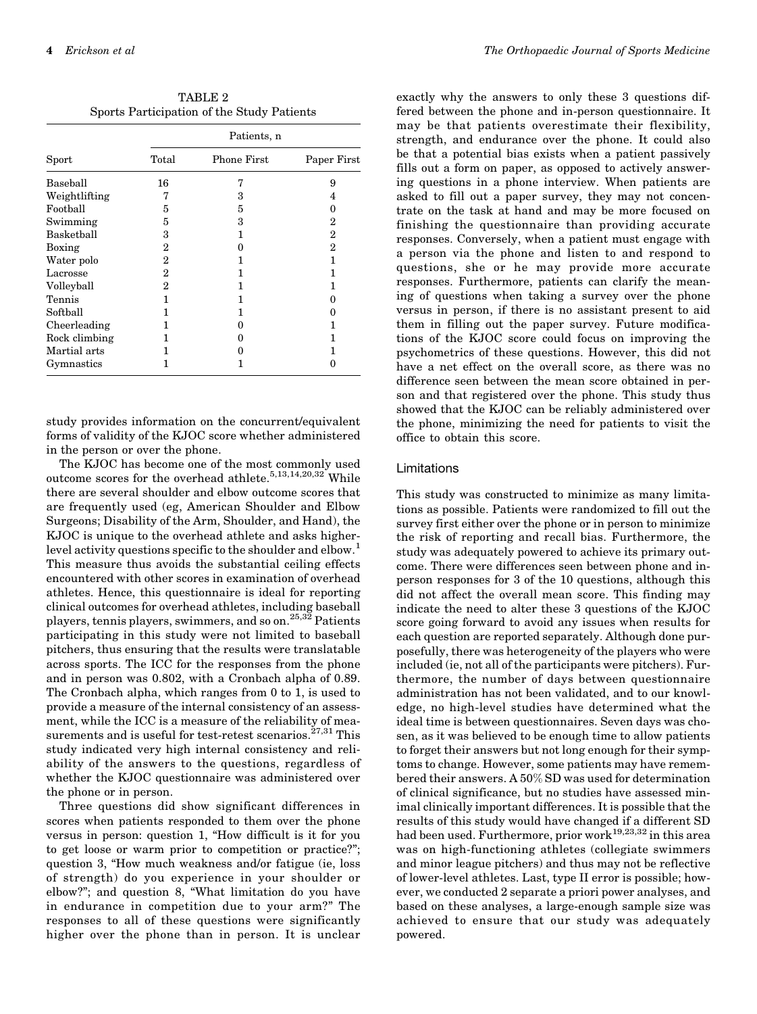TABLE 2 Sports Participation of the Study Patients

|               | Patients, n    |                    |                |  |  |
|---------------|----------------|--------------------|----------------|--|--|
| Sport         | Total          | <b>Phone First</b> | Paper First    |  |  |
| Baseball      | 16             | 7                  | 9              |  |  |
| Weightlifting | 7              | 3                  | 4              |  |  |
| Football      | 5              | 5                  | $\Omega$       |  |  |
| Swimming      | 5              | 3                  | 2              |  |  |
| Basketball    | 3              |                    | 2              |  |  |
| Boxing        | 2              | Ω                  | $\overline{2}$ |  |  |
| Water polo    | 2              |                    | 1              |  |  |
| Lacrosse      | $\overline{2}$ |                    | 1              |  |  |
| Volleyball    | 2              |                    | 1              |  |  |
| Tennis        | 1              |                    | 0              |  |  |
| Softball      | 1              |                    | 0              |  |  |
| Cheerleading  | 1              |                    |                |  |  |
| Rock climbing |                |                    |                |  |  |
| Martial arts  |                |                    |                |  |  |
| Gymnastics    |                |                    |                |  |  |

study provides information on the concurrent/equivalent forms of validity of the KJOC score whether administered in the person or over the phone.

The KJOC has become one of the most commonly used outcome scores for the overhead athlete.<sup>5,13,14,20,32</sup> While there are several shoulder and elbow outcome scores that are frequently used (eg, American Shoulder and Elbow Surgeons; Disability of the Arm, Shoulder, and Hand), the KJOC is unique to the overhead athlete and asks higherlevel activity questions specific to the shoulder and elbow.<sup>1</sup> This measure thus avoids the substantial ceiling effects encountered with other scores in examination of overhead athletes. Hence, this questionnaire is ideal for reporting clinical outcomes for overhead athletes, including baseball players, tennis players, swimmers, and so on.25,32 Patients participating in this study were not limited to baseball pitchers, thus ensuring that the results were translatable across sports. The ICC for the responses from the phone and in person was 0.802, with a Cronbach alpha of 0.89. The Cronbach alpha, which ranges from 0 to 1, is used to provide a measure of the internal consistency of an assessment, while the ICC is a measure of the reliability of measurements and is useful for test-retest scenarios.<sup>27,31</sup> This study indicated very high internal consistency and reliability of the answers to the questions, regardless of whether the KJOC questionnaire was administered over the phone or in person.

Three questions did show significant differences in scores when patients responded to them over the phone versus in person: question 1, "How difficult is it for you to get loose or warm prior to competition or practice?"; question 3, "How much weakness and/or fatigue (ie, loss of strength) do you experience in your shoulder or elbow?"; and question 8, "What limitation do you have in endurance in competition due to your arm?" The responses to all of these questions were significantly higher over the phone than in person. It is unclear exactly why the answers to only these 3 questions differed between the phone and in-person questionnaire. It may be that patients overestimate their flexibility, strength, and endurance over the phone. It could also be that a potential bias exists when a patient passively fills out a form on paper, as opposed to actively answering questions in a phone interview. When patients are asked to fill out a paper survey, they may not concentrate on the task at hand and may be more focused on finishing the questionnaire than providing accurate responses. Conversely, when a patient must engage with a person via the phone and listen to and respond to questions, she or he may provide more accurate responses. Furthermore, patients can clarify the meaning of questions when taking a survey over the phone versus in person, if there is no assistant present to aid them in filling out the paper survey. Future modifications of the KJOC score could focus on improving the psychometrics of these questions. However, this did not have a net effect on the overall score, as there was no difference seen between the mean score obtained in person and that registered over the phone. This study thus showed that the KJOC can be reliably administered over the phone, minimizing the need for patients to visit the office to obtain this score.

#### Limitations

This study was constructed to minimize as many limitations as possible. Patients were randomized to fill out the survey first either over the phone or in person to minimize the risk of reporting and recall bias. Furthermore, the study was adequately powered to achieve its primary outcome. There were differences seen between phone and inperson responses for 3 of the 10 questions, although this did not affect the overall mean score. This finding may indicate the need to alter these 3 questions of the KJOC score going forward to avoid any issues when results for each question are reported separately. Although done purposefully, there was heterogeneity of the players who were included (ie, not all of the participants were pitchers). Furthermore, the number of days between questionnaire administration has not been validated, and to our knowledge, no high-level studies have determined what the ideal time is between questionnaires. Seven days was chosen, as it was believed to be enough time to allow patients to forget their answers but not long enough for their symptoms to change. However, some patients may have remembered their answers. A 50% SD was used for determination of clinical significance, but no studies have assessed minimal clinically important differences. It is possible that the results of this study would have changed if a different SD had been used. Furthermore, prior work $19,23,32$  in this area was on high-functioning athletes (collegiate swimmers and minor league pitchers) and thus may not be reflective of lower-level athletes. Last, type II error is possible; however, we conducted 2 separate a priori power analyses, and based on these analyses, a large-enough sample size was achieved to ensure that our study was adequately powered.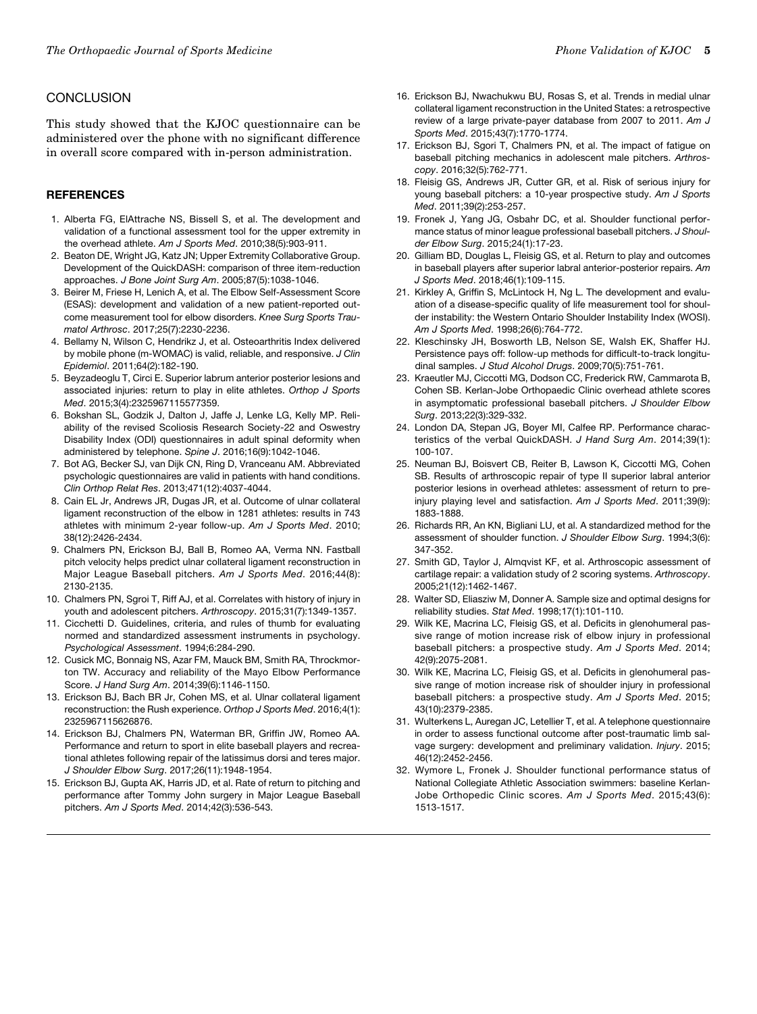#### **CONCLUSION**

This study showed that the KJOC questionnaire can be administered over the phone with no significant difference in overall score compared with in-person administration.

#### **REFERENCES**

- 1. Alberta FG, ElAttrache NS, Bissell S, et al. The development and validation of a functional assessment tool for the upper extremity in the overhead athlete. Am J Sports Med. 2010;38(5):903-911.
- 2. Beaton DE, Wright JG, Katz JN; Upper Extremity Collaborative Group. Development of the QuickDASH: comparison of three item-reduction approaches. J Bone Joint Surg Am. 2005;87(5):1038-1046.
- 3. Beirer M, Friese H, Lenich A, et al. The Elbow Self-Assessment Score (ESAS): development and validation of a new patient-reported outcome measurement tool for elbow disorders. Knee Surg Sports Traumatol Arthrosc. 2017;25(7):2230-2236.
- 4. Bellamy N, Wilson C, Hendrikz J, et al. Osteoarthritis Index delivered by mobile phone (m-WOMAC) is valid, reliable, and responsive. J Clin Epidemiol. 2011;64(2):182-190.
- 5. Beyzadeoglu T, Circi E. Superior labrum anterior posterior lesions and associated injuries: return to play in elite athletes. Orthop J Sports Med. 2015;3(4):2325967115577359.
- 6. Bokshan SL, Godzik J, Dalton J, Jaffe J, Lenke LG, Kelly MP. Reliability of the revised Scoliosis Research Society-22 and Oswestry Disability Index (ODI) questionnaires in adult spinal deformity when administered by telephone. Spine J. 2016;16(9):1042-1046.
- 7. Bot AG, Becker SJ, van Dijk CN, Ring D, Vranceanu AM. Abbreviated psychologic questionnaires are valid in patients with hand conditions. Clin Orthop Relat Res. 2013;471(12):4037-4044.
- 8. Cain EL Jr, Andrews JR, Dugas JR, et al. Outcome of ulnar collateral ligament reconstruction of the elbow in 1281 athletes: results in 743 athletes with minimum 2-year follow-up. Am J Sports Med. 2010; 38(12):2426-2434.
- 9. Chalmers PN, Erickson BJ, Ball B, Romeo AA, Verma NN. Fastball pitch velocity helps predict ulnar collateral ligament reconstruction in Major League Baseball pitchers. Am J Sports Med. 2016;44(8): 2130-2135.
- 10. Chalmers PN, Sgroi T, Riff AJ, et al. Correlates with history of injury in youth and adolescent pitchers. Arthroscopy. 2015;31(7):1349-1357.
- 11. Cicchetti D. Guidelines, criteria, and rules of thumb for evaluating normed and standardized assessment instruments in psychology. Psychological Assessment. 1994;6:284-290.
- 12. Cusick MC, Bonnaig NS, Azar FM, Mauck BM, Smith RA, Throckmorton TW. Accuracy and reliability of the Mayo Elbow Performance Score. J Hand Surg Am. 2014;39(6):1146-1150.
- 13. Erickson BJ, Bach BR Jr, Cohen MS, et al. Ulnar collateral ligament reconstruction: the Rush experience. Orthop J Sports Med. 2016;4(1): 2325967115626876.
- 14. Erickson BJ, Chalmers PN, Waterman BR, Griffin JW, Romeo AA. Performance and return to sport in elite baseball players and recreational athletes following repair of the latissimus dorsi and teres major. J Shoulder Elbow Surg. 2017;26(11):1948-1954.
- 15. Erickson BJ, Gupta AK, Harris JD, et al. Rate of return to pitching and performance after Tommy John surgery in Major League Baseball pitchers. Am J Sports Med. 2014;42(3):536-543.
- 16. Erickson BJ, Nwachukwu BU, Rosas S, et al. Trends in medial ulnar collateral ligament reconstruction in the United States: a retrospective review of a large private-payer database from 2007 to 2011. Am J Sports Med. 2015;43(7):1770-1774.
- 17. Erickson BJ, Sgori T, Chalmers PN, et al. The impact of fatigue on baseball pitching mechanics in adolescent male pitchers. Arthroscopy. 2016;32(5):762-771.
- 18. Fleisig GS, Andrews JR, Cutter GR, et al. Risk of serious injury for young baseball pitchers: a 10-year prospective study. Am J Sports Med. 2011;39(2):253-257.
- 19. Fronek J, Yang JG, Osbahr DC, et al. Shoulder functional performance status of minor league professional baseball pitchers. J Shoulder Elbow Surg. 2015;24(1):17-23.
- 20. Gilliam BD, Douglas L, Fleisig GS, et al. Return to play and outcomes in baseball players after superior labral anterior-posterior repairs. Am J Sports Med. 2018;46(1):109-115.
- 21. Kirkley A, Griffin S, McLintock H, Ng L. The development and evaluation of a disease-specific quality of life measurement tool for shoulder instability: the Western Ontario Shoulder Instability Index (WOSI). Am J Sports Med. 1998;26(6):764-772.
- 22. Kleschinsky JH, Bosworth LB, Nelson SE, Walsh EK, Shaffer HJ. Persistence pays off: follow-up methods for difficult-to-track longitudinal samples. J Stud Alcohol Drugs. 2009;70(5):751-761.
- 23. Kraeutler MJ, Ciccotti MG, Dodson CC, Frederick RW, Cammarota B, Cohen SB. Kerlan-Jobe Orthopaedic Clinic overhead athlete scores in asymptomatic professional baseball pitchers. J Shoulder Elbow Surg. 2013;22(3):329-332.
- 24. London DA, Stepan JG, Boyer MI, Calfee RP. Performance characteristics of the verbal QuickDASH. J Hand Surg Am. 2014;39(1): 100-107.
- 25. Neuman BJ, Boisvert CB, Reiter B, Lawson K, Ciccotti MG, Cohen SB. Results of arthroscopic repair of type II superior labral anterior posterior lesions in overhead athletes: assessment of return to preinjury playing level and satisfaction. Am J Sports Med. 2011;39(9): 1883-1888.
- 26. Richards RR, An KN, Bigliani LU, et al. A standardized method for the assessment of shoulder function. J Shoulder Elbow Surg. 1994;3(6): 347-352.
- 27. Smith GD, Taylor J, Almqvist KF, et al. Arthroscopic assessment of cartilage repair: a validation study of 2 scoring systems. Arthroscopy. 2005;21(12):1462-1467.
- 28. Walter SD, Eliasziw M, Donner A. Sample size and optimal designs for reliability studies. Stat Med. 1998;17(1):101-110.
- 29. Wilk KE, Macrina LC, Fleisig GS, et al. Deficits in glenohumeral passive range of motion increase risk of elbow injury in professional baseball pitchers: a prospective study. Am J Sports Med. 2014; 42(9):2075-2081.
- 30. Wilk KE, Macrina LC, Fleisig GS, et al. Deficits in glenohumeral passive range of motion increase risk of shoulder injury in professional baseball pitchers: a prospective study. Am J Sports Med. 2015; 43(10):2379-2385.
- 31. Wulterkens L, Auregan JC, Letellier T, et al. A telephone questionnaire in order to assess functional outcome after post-traumatic limb salvage surgery: development and preliminary validation. Injury. 2015; 46(12):2452-2456.
- 32. Wymore L, Fronek J. Shoulder functional performance status of National Collegiate Athletic Association swimmers: baseline Kerlan-Jobe Orthopedic Clinic scores. Am J Sports Med. 2015;43(6): 1513-1517.